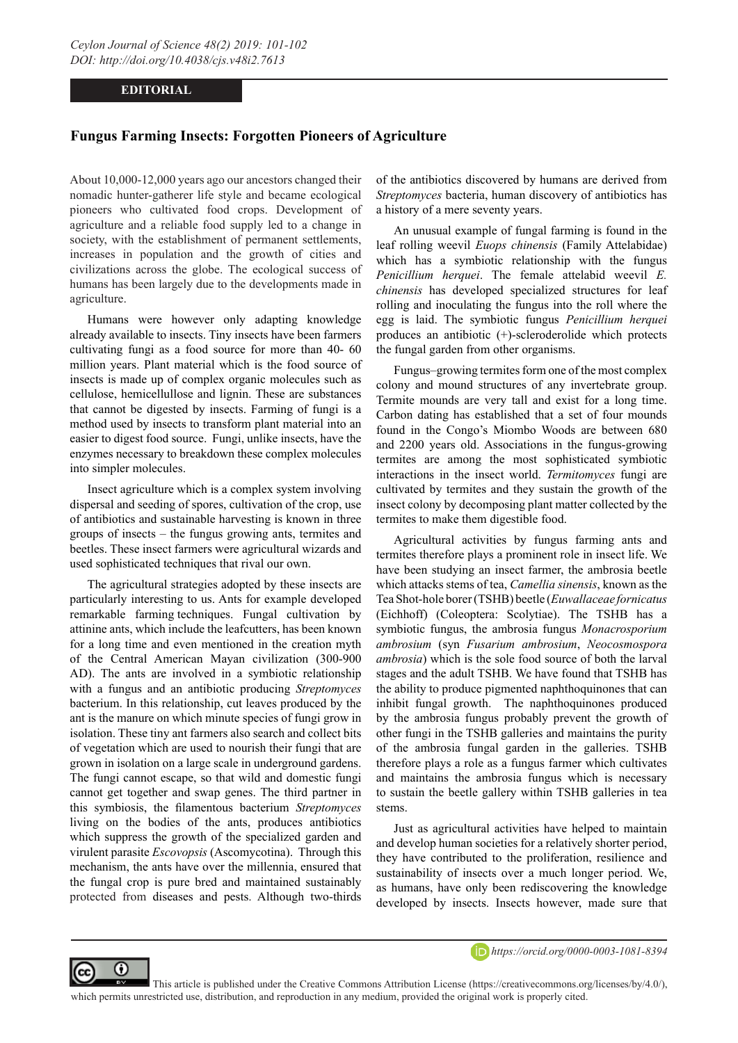## **EDITORIAL**

## **Fungus Farming Insects: Forgotten Pioneers of Agriculture**

About 10,000-12,000 years ago our ancestors changed their nomadic hunter-gatherer life style and became ecological pioneers who cultivated food crops. Development of agriculture and a reliable food supply led to a change in society, with the establishment of permanent settlements, increases in population and the growth of cities and civilizations across the globe. The ecological success of humans has been largely due to the developments made in agriculture.

Humans were however only adapting knowledge already available to insects. Tiny insects have been farmers cultivating fungi as a food source for more than 40- 60 million years. Plant material which is the food source of insects is made up of complex organic molecules such as cellulose, hemicellullose and lignin. These are substances that cannot be digested by insects. Farming of fungi is a method used by insects to transform plant material into an easier to digest food source. Fungi, unlike insects, have the enzymes necessary to breakdown these complex molecules into simpler molecules.

Insect agriculture which is a complex system involving dispersal and seeding of spores, cultivation of the crop, use of antibiotics and sustainable harvesting is known in three groups of insects – the fungus growing ants, termites and beetles. These insect farmers were agricultural wizards and used sophisticated techniques that rival our own.

The agricultural strategies adopted by these insects are particularly interesting to us. Ants for example developed remarkable farming techniques. Fungal cultivation by attinine ants, which include the leafcutters, has been known for a long time and even mentioned in the creation myth of the Central American Mayan civilization (300-900 AD). The ants are involved in a symbiotic relationship with a fungus and an antibiotic producing *Streptomyces* bacterium. In this relationship, cut leaves produced by the ant is the manure on which minute species of fungi grow in isolation. These tiny ant farmers also search and collect bits of vegetation which are used to nourish their fungi that are grown in isolation on a large scale in underground gardens. The fungi cannot escape, so that wild and domestic fungi cannot get together and swap genes. The third partner in this symbiosis, the filamentous bacterium *Streptomyces* living on the bodies of the ants, produces antibiotics which suppress the growth of the specialized garden and virulent parasite *Escovopsis* (Ascomycotina). Through this mechanism, the ants have over the millennia, ensured that the fungal crop is pure bred and maintained sustainably protected from diseases and pests. Although two-thirds

of the antibiotics discovered by humans are derived from *Streptomyces* bacteria, human discovery of antibiotics has a history of a mere seventy years.

An unusual example of fungal farming is found in the leaf rolling weevil *Euops chinensis* (Family Attelabidae) which has a symbiotic relationship with the fungus *Penicillium herquei*. The female attelabid weevil *E. chinensis* has developed specialized structures for leaf rolling and inoculating the fungus into the roll where the egg is laid. The symbiotic fungus *Penicillium herquei*  produces an antibiotic (+)-scleroderolide which protects the fungal garden from other organisms.

Fungus–growing termites form one of the most complex colony and mound structures of any invertebrate group. Termite mounds are very tall and exist for a long time. Carbon dating has established that a set of four mounds found in the Congo's Miombo Woods are between 680 and 2200 years old. Associations in the fungus-growing termites are among the most sophisticated symbiotic interactions in the insect world. *Termitomyces* fungi are cultivated by termites and they sustain the growth of the insect colony by decomposing plant matter collected by the termites to make them digestible food.

Agricultural activities by fungus farming ants and termites therefore plays a prominent role in insect life. We have been studying an insect farmer, the ambrosia beetle which attacks stems of tea, *Camellia sinensis*, known as the Tea Shot-hole borer (TSHB) beetle (*Euwallaceae fornicatus* (Eichhoff) (Coleoptera: Scolytiae). The TSHB has a symbiotic fungus, the ambrosia fungus *Monacrosporium ambrosium* (syn *Fusarium ambrosium*, *Neocosmospora ambrosia*) which is the sole food source of both the larval stages and the adult TSHB. We have found that TSHB has the ability to produce pigmented naphthoquinones that can inhibit fungal growth. The naphthoquinones produced by the ambrosia fungus probably prevent the growth of other fungi in the TSHB galleries and maintains the purity of the ambrosia fungal garden in the galleries. TSHB therefore plays a role as a fungus farmer which cultivates and maintains the ambrosia fungus which is necessary to sustain the beetle gallery within TSHB galleries in tea stems.

Just as agricultural activities have helped to maintain and develop human societies for a relatively shorter period, they have contributed to the proliferation, resilience and sustainability of insects over a much longer period. We, as humans, have only been rediscovering the knowledge developed by insects. Insects however, made sure that



 This article is published under the Creative Commons Attribution License (https://creativecommons.org/licenses/by/4.0/), which permits unrestricted use, distribution, and reproduction in any medium, provided the original work is properly cited.